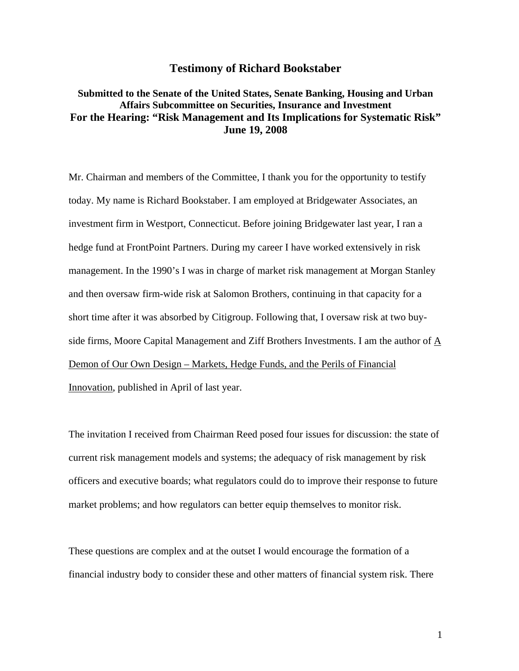# **Testimony of Richard Bookstaber**

# **Submitted to the Senate of the United States, Senate Banking, Housing and Urban Affairs Subcommittee on Securities, Insurance and Investment For the Hearing: "Risk Management and Its Implications for Systematic Risk" June 19, 2008**

Mr. Chairman and members of the Committee, I thank you for the opportunity to testify today. My name is Richard Bookstaber. I am employed at Bridgewater Associates, an investment firm in Westport, Connecticut. Before joining Bridgewater last year, I ran a hedge fund at FrontPoint Partners. During my career I have worked extensively in risk management. In the 1990's I was in charge of market risk management at Morgan Stanley and then oversaw firm-wide risk at Salomon Brothers, continuing in that capacity for a short time after it was absorbed by Citigroup. Following that, I oversaw risk at two buyside firms, Moore Capital Management and Ziff Brothers Investments. I am the author of A Demon of Our Own Design – Markets, Hedge Funds, and the Perils of Financial Innovation, published in April of last year.

The invitation I received from Chairman Reed posed four issues for discussion: the state of current risk management models and systems; the adequacy of risk management by risk officers and executive boards; what regulators could do to improve their response to future market problems; and how regulators can better equip themselves to monitor risk.

These questions are complex and at the outset I would encourage the formation of a financial industry body to consider these and other matters of financial system risk. There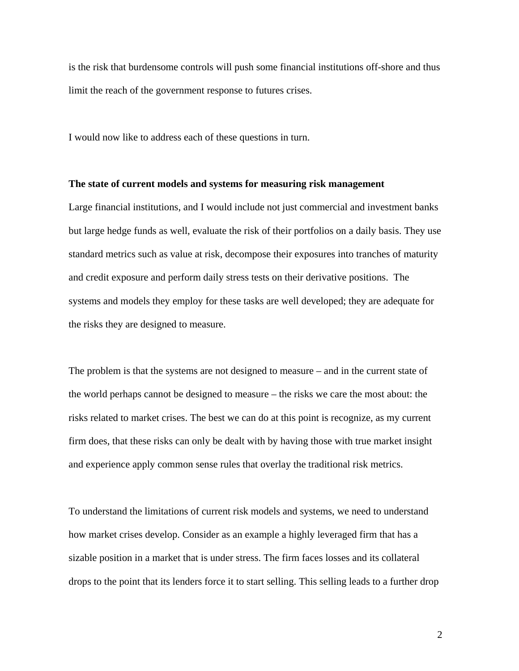is the risk that burdensome controls will push some financial institutions off-shore and thus limit the reach of the government response to futures crises.

I would now like to address each of these questions in turn.

# **The state of current models and systems for measuring risk management**

Large financial institutions, and I would include not just commercial and investment banks but large hedge funds as well, evaluate the risk of their portfolios on a daily basis. They use standard metrics such as value at risk, decompose their exposures into tranches of maturity and credit exposure and perform daily stress tests on their derivative positions. The systems and models they employ for these tasks are well developed; they are adequate for the risks they are designed to measure.

The problem is that the systems are not designed to measure – and in the current state of the world perhaps cannot be designed to measure – the risks we care the most about: the risks related to market crises. The best we can do at this point is recognize, as my current firm does, that these risks can only be dealt with by having those with true market insight and experience apply common sense rules that overlay the traditional risk metrics.

To understand the limitations of current risk models and systems, we need to understand how market crises develop. Consider as an example a highly leveraged firm that has a sizable position in a market that is under stress. The firm faces losses and its collateral drops to the point that its lenders force it to start selling. This selling leads to a further drop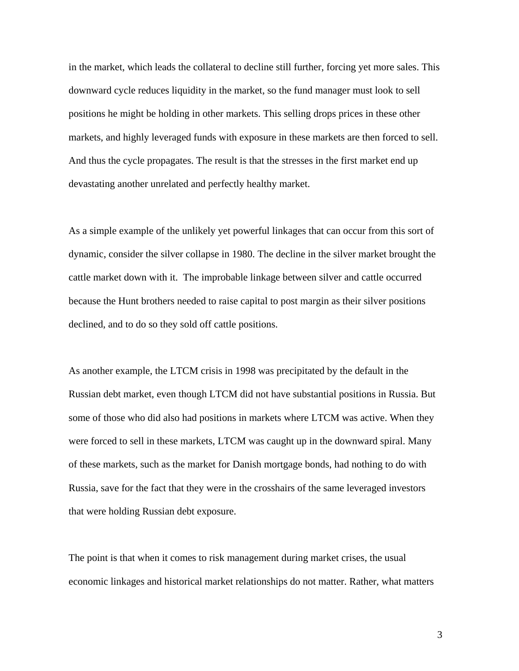in the market, which leads the collateral to decline still further, forcing yet more sales. This downward cycle reduces liquidity in the market, so the fund manager must look to sell positions he might be holding in other markets. This selling drops prices in these other markets, and highly leveraged funds with exposure in these markets are then forced to sell. And thus the cycle propagates. The result is that the stresses in the first market end up devastating another unrelated and perfectly healthy market.

As a simple example of the unlikely yet powerful linkages that can occur from this sort of dynamic, consider the silver collapse in 1980. The decline in the silver market brought the cattle market down with it. The improbable linkage between silver and cattle occurred because the Hunt brothers needed to raise capital to post margin as their silver positions declined, and to do so they sold off cattle positions.

As another example, the LTCM crisis in 1998 was precipitated by the default in the Russian debt market, even though LTCM did not have substantial positions in Russia. But some of those who did also had positions in markets where LTCM was active. When they were forced to sell in these markets, LTCM was caught up in the downward spiral. Many of these markets, such as the market for Danish mortgage bonds, had nothing to do with Russia, save for the fact that they were in the crosshairs of the same leveraged investors that were holding Russian debt exposure.

The point is that when it comes to risk management during market crises, the usual economic linkages and historical market relationships do not matter. Rather, what matters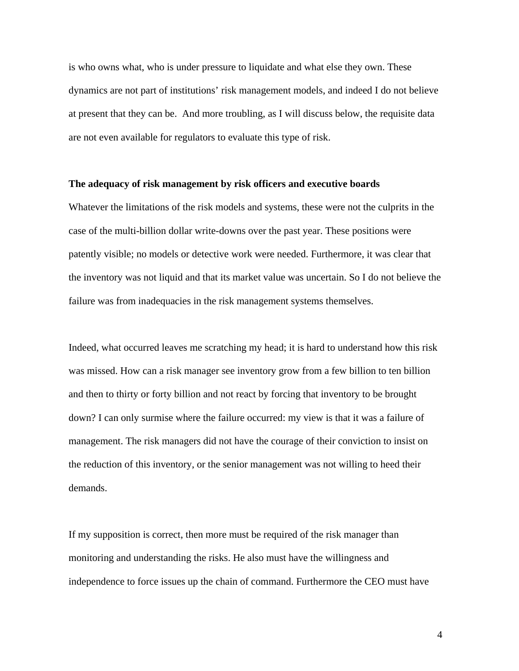is who owns what, who is under pressure to liquidate and what else they own. These dynamics are not part of institutions' risk management models, and indeed I do not believe at present that they can be. And more troubling, as I will discuss below, the requisite data are not even available for regulators to evaluate this type of risk.

# **The adequacy of risk management by risk officers and executive boards**

Whatever the limitations of the risk models and systems, these were not the culprits in the case of the multi-billion dollar write-downs over the past year. These positions were patently visible; no models or detective work were needed. Furthermore, it was clear that the inventory was not liquid and that its market value was uncertain. So I do not believe the failure was from inadequacies in the risk management systems themselves.

Indeed, what occurred leaves me scratching my head; it is hard to understand how this risk was missed. How can a risk manager see inventory grow from a few billion to ten billion and then to thirty or forty billion and not react by forcing that inventory to be brought down? I can only surmise where the failure occurred: my view is that it was a failure of management. The risk managers did not have the courage of their conviction to insist on the reduction of this inventory, or the senior management was not willing to heed their demands.

If my supposition is correct, then more must be required of the risk manager than monitoring and understanding the risks. He also must have the willingness and independence to force issues up the chain of command. Furthermore the CEO must have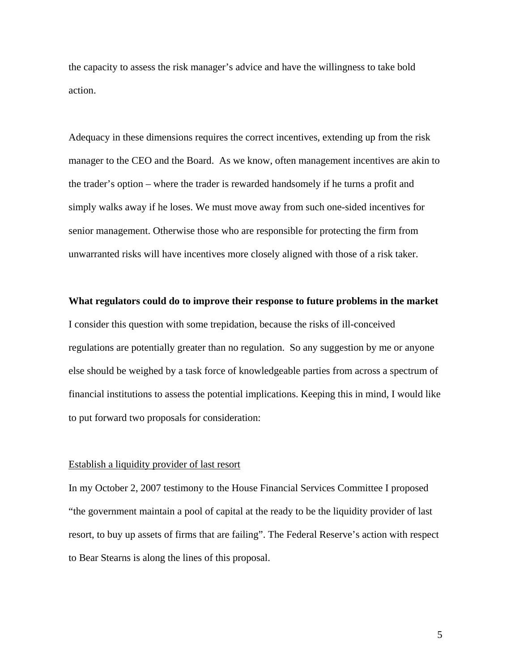the capacity to assess the risk manager's advice and have the willingness to take bold action.

Adequacy in these dimensions requires the correct incentives, extending up from the risk manager to the CEO and the Board. As we know, often management incentives are akin to the trader's option – where the trader is rewarded handsomely if he turns a profit and simply walks away if he loses. We must move away from such one-sided incentives for senior management. Otherwise those who are responsible for protecting the firm from unwarranted risks will have incentives more closely aligned with those of a risk taker.

#### **What regulators could do to improve their response to future problems in the market**

I consider this question with some trepidation, because the risks of ill-conceived regulations are potentially greater than no regulation. So any suggestion by me or anyone else should be weighed by a task force of knowledgeable parties from across a spectrum of financial institutions to assess the potential implications. Keeping this in mind, I would like to put forward two proposals for consideration:

# Establish a liquidity provider of last resort

In my October 2, 2007 testimony to the House Financial Services Committee I proposed "the government maintain a pool of capital at the ready to be the liquidity provider of last resort, to buy up assets of firms that are failing". The Federal Reserve's action with respect to Bear Stearns is along the lines of this proposal.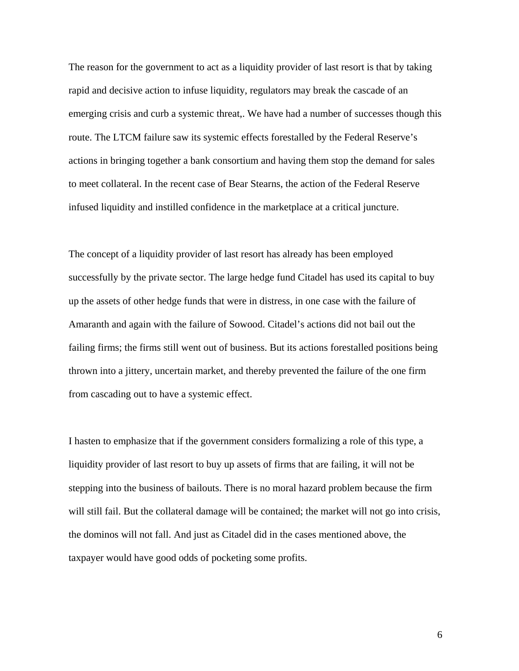The reason for the government to act as a liquidity provider of last resort is that by taking rapid and decisive action to infuse liquidity, regulators may break the cascade of an emerging crisis and curb a systemic threat,. We have had a number of successes though this route. The LTCM failure saw its systemic effects forestalled by the Federal Reserve's actions in bringing together a bank consortium and having them stop the demand for sales to meet collateral. In the recent case of Bear Stearns, the action of the Federal Reserve infused liquidity and instilled confidence in the marketplace at a critical juncture.

The concept of a liquidity provider of last resort has already has been employed successfully by the private sector. The large hedge fund Citadel has used its capital to buy up the assets of other hedge funds that were in distress, in one case with the failure of Amaranth and again with the failure of Sowood. Citadel's actions did not bail out the failing firms; the firms still went out of business. But its actions forestalled positions being thrown into a jittery, uncertain market, and thereby prevented the failure of the one firm from cascading out to have a systemic effect.

I hasten to emphasize that if the government considers formalizing a role of this type, a liquidity provider of last resort to buy up assets of firms that are failing, it will not be stepping into the business of bailouts. There is no moral hazard problem because the firm will still fail. But the collateral damage will be contained; the market will not go into crisis, the dominos will not fall. And just as Citadel did in the cases mentioned above, the taxpayer would have good odds of pocketing some profits.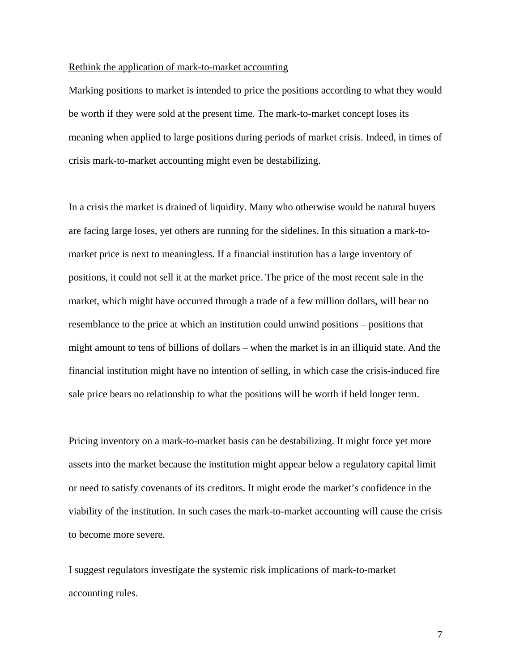# Rethink the application of mark-to-market accounting

Marking positions to market is intended to price the positions according to what they would be worth if they were sold at the present time. The mark-to-market concept loses its meaning when applied to large positions during periods of market crisis. Indeed, in times of crisis mark-to-market accounting might even be destabilizing.

In a crisis the market is drained of liquidity. Many who otherwise would be natural buyers are facing large loses, yet others are running for the sidelines. In this situation a mark-tomarket price is next to meaningless. If a financial institution has a large inventory of positions, it could not sell it at the market price. The price of the most recent sale in the market, which might have occurred through a trade of a few million dollars, will bear no resemblance to the price at which an institution could unwind positions – positions that might amount to tens of billions of dollars – when the market is in an illiquid state. And the financial institution might have no intention of selling, in which case the crisis-induced fire sale price bears no relationship to what the positions will be worth if held longer term.

Pricing inventory on a mark-to-market basis can be destabilizing. It might force yet more assets into the market because the institution might appear below a regulatory capital limit or need to satisfy covenants of its creditors. It might erode the market's confidence in the viability of the institution. In such cases the mark-to-market accounting will cause the crisis to become more severe.

I suggest regulators investigate the systemic risk implications of mark-to-market accounting rules.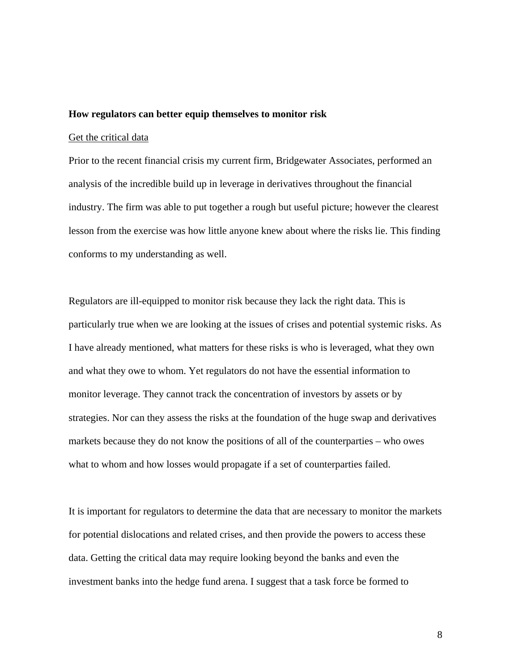# **How regulators can better equip themselves to monitor risk**

#### Get the critical data

Prior to the recent financial crisis my current firm, Bridgewater Associates, performed an analysis of the incredible build up in leverage in derivatives throughout the financial industry. The firm was able to put together a rough but useful picture; however the clearest lesson from the exercise was how little anyone knew about where the risks lie. This finding conforms to my understanding as well.

Regulators are ill-equipped to monitor risk because they lack the right data. This is particularly true when we are looking at the issues of crises and potential systemic risks. As I have already mentioned, what matters for these risks is who is leveraged, what they own and what they owe to whom. Yet regulators do not have the essential information to monitor leverage. They cannot track the concentration of investors by assets or by strategies. Nor can they assess the risks at the foundation of the huge swap and derivatives markets because they do not know the positions of all of the counterparties – who owes what to whom and how losses would propagate if a set of counterparties failed.

It is important for regulators to determine the data that are necessary to monitor the markets for potential dislocations and related crises, and then provide the powers to access these data. Getting the critical data may require looking beyond the banks and even the investment banks into the hedge fund arena. I suggest that a task force be formed to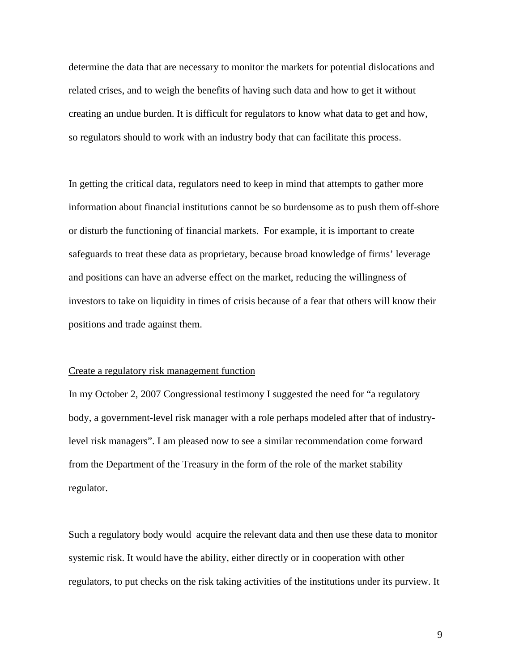determine the data that are necessary to monitor the markets for potential dislocations and related crises, and to weigh the benefits of having such data and how to get it without creating an undue burden. It is difficult for regulators to know what data to get and how, so regulators should to work with an industry body that can facilitate this process.

In getting the critical data, regulators need to keep in mind that attempts to gather more information about financial institutions cannot be so burdensome as to push them off-shore or disturb the functioning of financial markets. For example, it is important to create safeguards to treat these data as proprietary, because broad knowledge of firms' leverage and positions can have an adverse effect on the market, reducing the willingness of investors to take on liquidity in times of crisis because of a fear that others will know their positions and trade against them.

#### Create a regulatory risk management function

In my October 2, 2007 Congressional testimony I suggested the need for "a regulatory body, a government-level risk manager with a role perhaps modeled after that of industrylevel risk managers". I am pleased now to see a similar recommendation come forward from the Department of the Treasury in the form of the role of the market stability regulator.

Such a regulatory body would acquire the relevant data and then use these data to monitor systemic risk. It would have the ability, either directly or in cooperation with other regulators, to put checks on the risk taking activities of the institutions under its purview. It